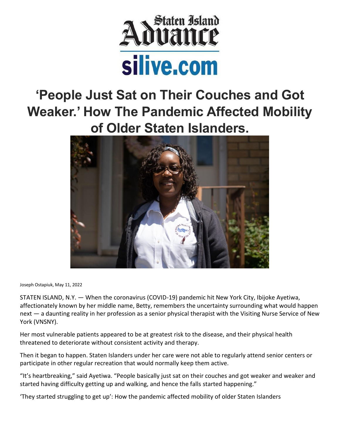

# **'People Just Sat on Their Couches and Got Weaker.' How The Pandemic Affected Mobility of Older Staten Islanders.**



Joseph Ostapiuk, May 11, 2022

STATEN ISLAND, N.Y. — When the coronavirus (COVID-19) pandemic hit New York City, Ibijoke Ayetiwa, affectionately known by her middle name, Betty, remembers the uncertainty surrounding what would happen next — a daunting reality in her profession as a senior physical therapist with the Visiting Nurse Service of New York (VNSNY).

Her most vulnerable patients appeared to be at greatest risk to the disease, and their physical health threatened to deteriorate without consistent activity and therapy.

Then it began to happen. Staten Islanders under her care were not able to regularly attend senior centers or participate in other regular recreation that would normally keep them active.

"It's heartbreaking," said Ayetiwa. "People basically just sat on their couches and got weaker and weaker and started having difficulty getting up and walking, and hence the falls started happening."

'They started struggling to get up': How the pandemic affected mobility of older Staten Islanders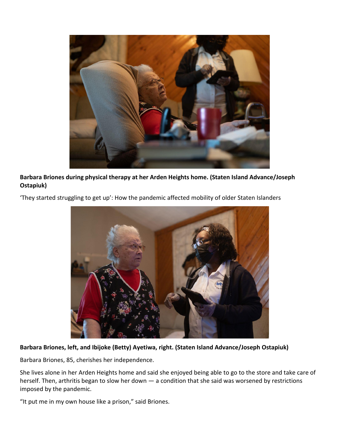

**Barbara Briones during physical therapy at her Arden Heights home. (Staten Island Advance/Joseph Ostapiuk)**



'They started struggling to get up': How the pandemic affected mobility of older Staten Islanders

### **Barbara Briones, left, and Ibijoke (Betty) Ayetiwa, right. (Staten Island Advance/Joseph Ostapiuk)**

Barbara Briones, 85, cherishes her independence.

She lives alone in her Arden Heights home and said she enjoyed being able to go to the store and take care of herself. Then, arthritis began to slow her down — a condition that she said was worsened by restrictions imposed by the pandemic.

"It put me in my own house like a prison," said Briones.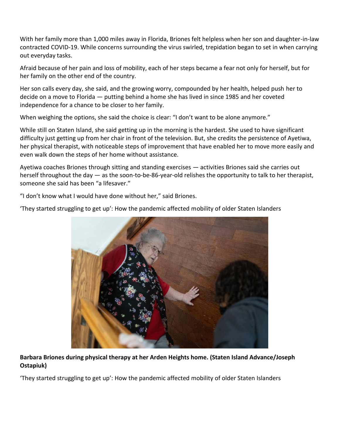With her family more than 1,000 miles away in Florida, Briones felt helpless when her son and daughter-in-law contracted COVID-19. While concerns surrounding the virus swirled, trepidation began to set in when carrying out everyday tasks.

Afraid because of her pain and loss of mobility, each of her steps became a fear not only for herself, but for her family on the other end of the country.

Her son calls every day, she said, and the growing worry, compounded by her health, helped push her to decide on a move to Florida — putting behind a home she has lived in since 1985 and her coveted independence for a chance to be closer to her family.

When weighing the options, she said the choice is clear: "I don't want to be alone anymore."

While still on Staten Island, she said getting up in the morning is the hardest. She used to have significant difficulty just getting up from her chair in front of the television. But, she credits the persistence of Ayetiwa, her physical therapist, with noticeable steps of improvement that have enabled her to move more easily and even walk down the steps of her home without assistance.

Ayetiwa coaches Briones through sitting and standing exercises — activities Briones said she carries out herself throughout the day — as the soon-to-be-86-year-old relishes the opportunity to talk to her therapist, someone she said has been "a lifesaver."

"I don't know what I would have done without her," said Briones.

'They started struggling to get up': How the pandemic affected mobility of older Staten Islanders



## **Barbara Briones during physical therapy at her Arden Heights home. (Staten Island Advance/Joseph Ostapiuk)**

'They started struggling to get up': How the pandemic affected mobility of older Staten Islanders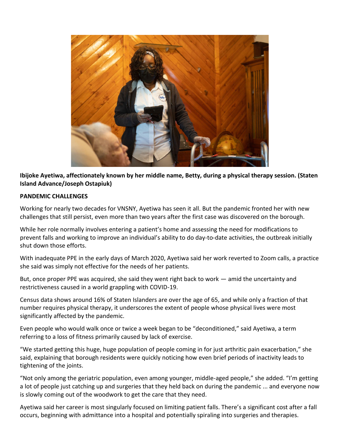

**Ibijoke Ayetiwa, affectionately known by her middle name, Betty, during a physical therapy session. (Staten Island Advance/Joseph Ostapiuk)**

#### **PANDEMIC CHALLENGES**

Working for nearly two decades for VNSNY, Ayetiwa has seen it all. But the pandemic fronted her with new challenges that still persist, even more than two years after the first case was discovered on the borough.

While her role normally involves entering a patient's home and assessing the need for modifications to prevent falls and working to improve an individual's ability to do day-to-date activities, the outbreak initially shut down those efforts.

With inadequate PPE in the early days of March 2020, Ayetiwa said her work reverted to Zoom calls, a practice she said was simply not effective for the needs of her patients.

But, once proper PPE was acquired, she said they went right back to work — amid the uncertainty and restrictiveness caused in a world grappling with COVID-19.

Census data shows around 16% of Staten Islanders are over the age of 65, and while only a fraction of that number requires physical therapy, it underscores the extent of people whose physical lives were most significantly affected by the pandemic.

Even people who would walk once or twice a week began to be "deconditioned," said Ayetiwa, a term referring to a loss of fitness primarily caused by lack of exercise.

"We started getting this huge, huge population of people coming in for just arthritic pain exacerbation," she said, explaining that borough residents were quickly noticing how even brief periods of inactivity leads to tightening of the joints.

"Not only among the geriatric population, even among younger, middle-aged people," she added. "I'm getting a lot of people just catching up and surgeries that they held back on during the pandemic ... and everyone now is slowly coming out of the woodwork to get the care that they need.

Ayetiwa said her career is most singularly focused on limiting patient falls. There's a significant cost after a fall occurs, beginning with admittance into a hospital and potentially spiraling into surgeries and therapies.